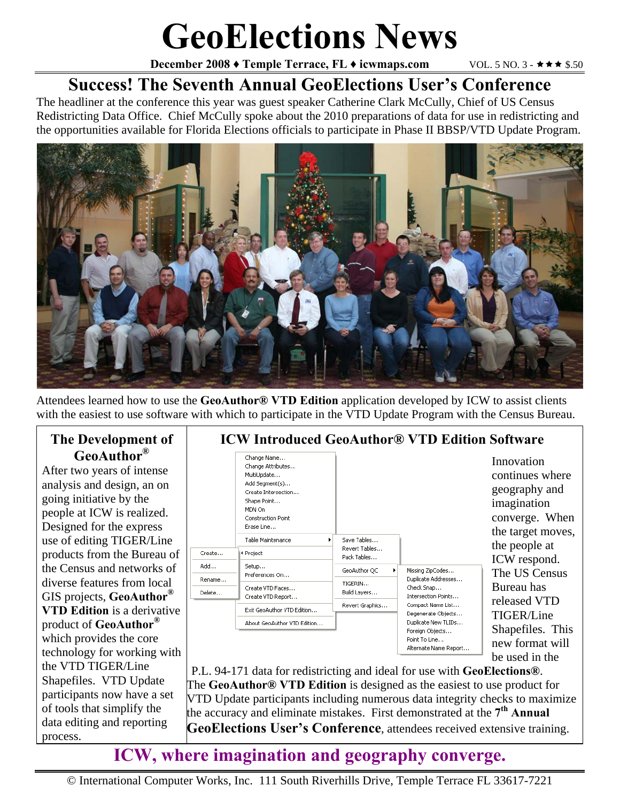# **GeoElections News**

**December 2008**  $\blacklozenge$  **Temple Terrace, FL**  $\blacklozenge$  **icwmaps.com**  $\blacktriangledown$  **VOL. 5 NO. 3 -**  $\star \star \star$  **\$.50** 

## **Success! The Seventh Annual GeoElections User's Conference**

The headliner at the conference this year was guest speaker Catherine Clark McCully, Chief of US Census Redistricting Data Office. Chief McCully spoke about the 2010 preparations of data for use in redistricting and the opportunities available for Florida Elections officials to participate in Phase II BBSP/VTD Update Program.



Attendees learned how to use the **GeoAuthor® VTD Edition** application developed by ICW to assist clients with the easiest to use software with which to participate in the VTD Update Program with the Census Bureau.

#### **The Development of GeoAuthor®**

After two years of intense analysis and design, an on going initiative by the people at ICW is realized. Designed for the express use of editing TIGER/Line products from the Bureau of the Census and networks of diverse features from local GIS projects, **GeoAuthor® VTD Edition** is a derivative product of **GeoAuthor®** which provides the core technology for working with the VTD TIGER/Line Shapefiles. VTD Update participants now have a set of tools that simplify the data editing and reporting process.



P.L. 94-171 data for redistricting and ideal for use with **GeoElections®**. The **GeoAuthor® VTD Edition** is designed as the easiest to use product for VTD Update participants including numerous data integrity checks to maximize the accuracy and eliminate mistakes. First demonstrated at the **7th Annual GeoElections User's Conference**, attendees received extensive training.

## **ICW, where imagination and geography converge.**

© International Computer Works, Inc. 111 South Riverhills Drive, Temple Terrace FL 33617-7221